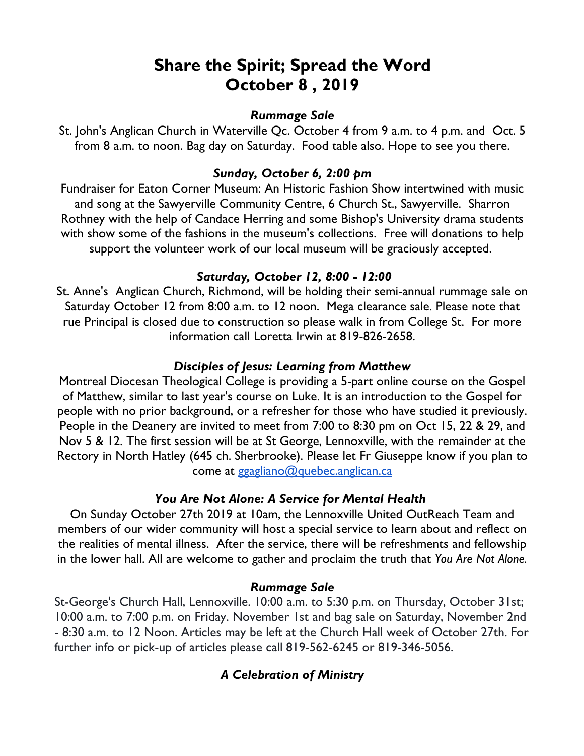# **Share the Spirit; Spread the Word October 8 , 2019**

#### *Rummage Sale*

St. John's Anglican Church in Waterville Qc. October 4 from 9 a.m. to 4 p.m. and Oct. 5 from 8 a.m. to noon. Bag day on Saturday. Food table also. Hope to see you there.

## *Sunday, October 6, 2:00 pm*

Fundraiser for Eaton Corner Museum: An Historic Fashion Show intertwined with music and song at the Sawyerville Community Centre, 6 Church St., Sawyerville. Sharron Rothney with the help of Candace Herring and some Bishop's University drama students with show some of the fashions in the museum's collections. Free will donations to help support the volunteer work of our local museum will be graciously accepted.

## *Saturday, October 12, 8:00 - 12:00*

St. Anne's Anglican Church, Richmond, will be holding their semi-annual rummage sale on Saturday October 12 from 8:00 a.m. to 12 noon. Mega clearance sale. Please note that rue Principal is closed due to construction so please walk in from College St. For more information call Loretta Irwin at 819-826-2658.

## *Disciples of Jesus: Learning from Matthew*

Montreal Diocesan Theological College is providing a 5-part online course on the Gospel of Matthew, similar to last year's course on Luke. It is an introduction to the Gospel for people with no prior background, or a refresher for those who have studied it previously. People in the Deanery are invited to meet from 7:00 to 8:30 pm on Oct 15, 22 & 29, and Nov 5 & 12. The first session will be at St George, Lennoxville, with the remainder at the Rectory in North Hatley (645 ch. Sherbrooke). Please let Fr Giuseppe know if you plan to come at ggagliano@quebec.anglican.ca

## *You Are Not Alone: A Service for Mental Health*

On Sunday October 27th 2019 at 10am, the Lennoxville United OutReach Team and members of our wider community will host a special service to learn about and reflect on the realities of mental illness. After the service, there will be refreshments and fellowship in the lower hall. All are welcome to gather and proclaim the truth that *You Are Not Alone.*

## *Rummage Sale*

St-George's Church Hall, Lennoxville. 10:00 a.m. to 5:30 p.m. on Thursday, October 31st; 10:00 a.m. to 7:00 p.m. on Friday. November 1st and bag sale on Saturday, November 2nd - 8:30 a.m. to 12 Noon. Articles may be left at the Church Hall week of October 27th. For further info or pick-up of articles please call 819-562-6245 or 819-346-5056.

## *A Celebration of Ministry*